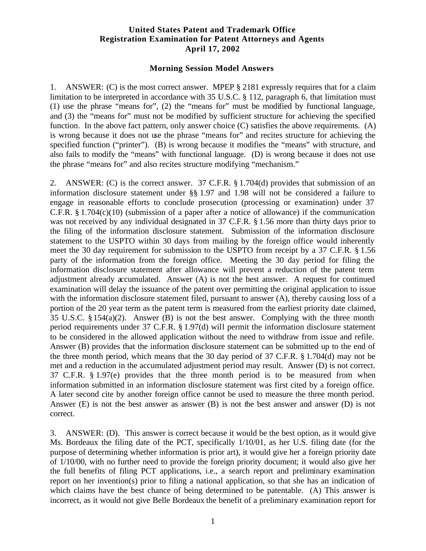## **United States Patent and Trademark Office Registration Examination for Patent Attorneys and Agents April 17, 2002**

## **Morning Session Model Answers**

1. ANSWER: (C) is the most correct answer. MPEP § 2181 expressly requires that for a claim limitation to be interpreted in accordance with 35 U.S.C. § 112, paragraph 6, that limitation must (1) use the phrase "means for", (2) the "means for" must be modified by functional language, and (3) the "means for" must not be modified by sufficient structure for achieving the specified function. In the above fact pattern, only answer choice (C) satisfies the above requirements. (A) is wrong because it does not use the phrase "means for" and recites structure for achieving the specified function ("printer"). (B) is wrong because it modifies the "means" with structure, and also fails to modify the "means" with functional language. (D) is wrong because it does not use the phrase "means for" and also recites structure modifying "mechanism."

2. ANSWER: (C) is the correct answer. 37 C.F.R. § 1.704(d) provides that submission of an information disclosure statement under §§ 1.97 and 1.98 will not be considered a failure to engage in reasonable efforts to conclude prosecution (processing or examination) under 37 C.F.R. § 1.704(c)(10) (submission of a paper after a notice of allowance) if the communication was not received by any individual designated in 37 C.F.R. § 1.56 more than thirty days prior to the filing of the information disclosure statement. Submission of the information disclosure statement to the USPTO within 30 days from mailing by the foreign office would inherently meet the 30 day requirement for submission to the USPTO from receipt by a 37 C.F.R. § 1.56 party of the information from the foreign office. Meeting the 30 day period for filing the information disclosure statement after allowance will prevent a reduction of the patent term adjustment already accumulated. Answer (A) is not the best answer. A request for continued examination will delay the issuance of the patent over permitting the original application to issue with the information disclosure statement filed, pursuant to answer (A), thereby causing loss of a portion of the 20 year term as the patent term is measured from the earliest priority date claimed, 35 U.S.C. § 154(a)(2). Answer (B) is not the best answer. Complying with the three month period requirements under 37 C.F.R. § 1.97(d) will permit the information disclosure statement to be considered in the allowed application without the need to withdraw from issue and refile. Answer (B) provides that the information disclosure statement can be submitted up to the end of the three month period, which means that the 30 day period of 37 C.F.R. § 1.704(d) may not be met and a reduction in the accumulated adjustment period may result. Answer (D) is not correct. 37 C.F.R. § 1.97(e) provides that the three month period is to be measured from when information submitted in an information disclosure statement was first cited by a foreign office. A later second cite by another foreign office cannot be used to measure the three month period. Answer (E) is not the best answer as answer (B) is not the best answer and answer (D) is not correct.

3. ANSWER: (D). This answer is correct because it would be the best option, as it would give Ms. Bordeaux the filing date of the PCT, specifically 1/10/01, as her U.S. filing date (for the purpose of determining whether information is prior art), it would give her a foreign priority date of 1/10/00, with no further need to provide the foreign priority document; it would also give her the full benefits of filing PCT applications, i.e., a search report and preliminary examination report on her invention(s) prior to filing a national application, so that she has an indication of which claims have the best chance of being determined to be patentable. (A) This answer is incorrect, as it would not give Belle Bordeaux the benefit of a preliminary examination report for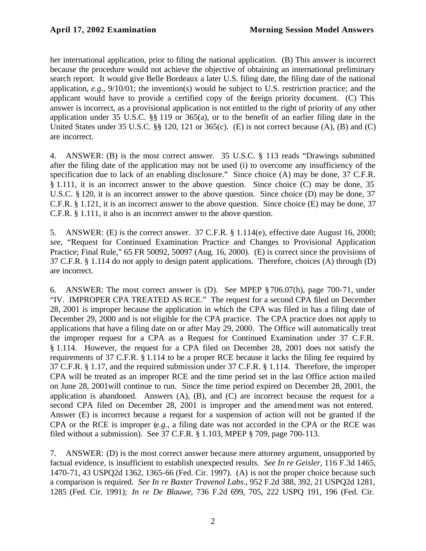her international application, prior to filing the national application. (B) This answer is incorrect because the procedure would not achieve the objective of obtaining an international preliminary search report. It would give Belle Bordeaux a later U.S. filing date, the filing date of the national application, *e.g*., 9/10/01; the invention(s) would be subject to U.S. restriction practice; and the applicant would have to provide a certified copy of the foreign priority document. (C) This answer is incorrect, as a provisional application is not entitled to the right of priority of any other application under 35 U.S.C. §§ 119 or 365(a), or to the benefit of an earlier filing date in the United States under 35 U.S.C. §§ 120, 121 or 365(c). (E) is not correct because (A), (B) and (C) are incorrect.

4. ANSWER: (B) is the most correct answer. 35 U.S.C. § 113 reads "Drawings submitted after the filing date of the application may not be used (i) to overcome any insufficiency of the specification due to lack of an enabling disclosure." Since choice (A) may be done, 37 C.F.R. § 1.111, it is an incorrect answer to the above question. Since choice (C) may be done, 35 U.S.C. § 120, it is an incorrect answer to the above question. Since choice (D) may be done, 37 C.F.R. § 1.121, it is an incorrect answer to the above question. Since choice (E) may be done, 37 C.F.R. § 1.111, it also is an incorrect answer to the above question.

5. ANSWER: (E) is the correct answer. 37 C.F.R. § 1.114(e), effective date August 16, 2000; *see,* "Request for Continued Examination Practice and Changes to Provisional Application Practice; Final Rule," 65 FR 50092, 50097 (Aug. 16, 2000). (E) is correct since the provisions of 37 C.F.R. § 1.114 do not apply to design patent applications. Therefore, choices (A) through (D) are incorrect.

6. ANSWER: The most correct answer is (D). See MPEP §706.07(h), page 700-71, under "IV. IMPROPER CPA TREATED AS RCE." The request for a second CPA filed on December 28, 2001 is improper because the application in which the CPA was filed in has a filing date of December 29, 2000 and is not eligible for the CPA practice. The CPA practice does not apply to applications that have a filing date on or after May 29, 2000. The Office will automatically treat the improper request for a CPA as a Request for Continued Examination under 37 C.F.R. § 1.114. However, the request for a CPA filed on December 28, 2001 does not satisfy the requirements of 37 C.F.R. § 1.114 to be a proper RCE because it lacks the filing fee required by 37 C.F.R. § 1.17, and the required submission under 37 C.F.R. § 1.114. Therefore, the improper CPA will be treated as an improper RCE and the time period set in the last Office action ma iled on June 28, 2001will continue to run. Since the time period expired on December 28, 2001, the application is abandoned. Answers  $(A)$ ,  $(B)$ , and  $(C)$  are incorrect because the request for a second CPA filed on December 28, 2001 is improper and the amendment was not entered. Answer (E) is incorrect because a request for a suspension of action will not be granted if the CPA or the RCE is improper (*e.g.*, a filing date was not accorded in the CPA or the RCE was filed without a submission). See 37 C.F.R. § 1.103, MPEP § 709, page 700-113.

7. ANSWER: (D) is the most correct answer because mere attorney argument, unsupported by factual evidence, is insufficient to establish unexpected results. *See In re Geisler*, 116 F.3d 1465, 1470-71, 43 USPQ2d 1362, 1365-66 (Fed. Cir. 1997). (A) is not the proper choice because such a comparison is required. *See In re Baxter Travenol Labs*., 952 F.2d 388, 392, 21 USPQ2d 1281, 1285 (Fed. Cir. 1991); *In re De Blauwe*, 736 F.2d 699, 705, 222 USPQ 191, 196 (Fed. Cir.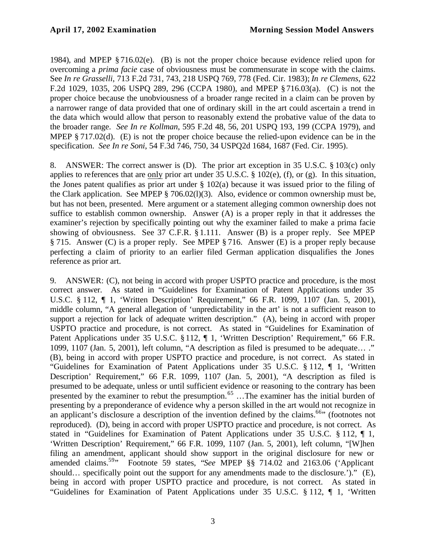1984), and MPEP § 716.02(e). (B) is not the proper choice because evidence relied upon for overcoming a *prima facie* case of obviousness must be commensurate in scope with the claims. See *In re Grasselli*, 713 F.2d 731, 743, 218 USPQ 769, 778 (Fed. Cir. 1983); *In re Clemens*, 622 F.2d 1029, 1035, 206 USPQ 289, 296 (CCPA 1980), and MPEP § 716.03(a). (C) is not the proper choice because the unobviousness of a broader range recited in a claim can be proven by a narrower range of data provided that one of ordinary skill in the art could ascertain a trend in the data which would allow that person to reasonably extend the probative value of the data to the broader range. *See In re Kollman*, 595 F.2d 48, 56, 201 USPQ 193, 199 (CCPA 1979), and MPEP § 717.02(d). (E) is not the proper choice because the relied-upon evidence can be in the specification. *See In re Soni*, 54 F.3d 746, 750, 34 USPQ2d 1684, 1687 (Fed. Cir. 1995).

8. ANSWER: The correct answer is (D). The prior art exception in 35 U.S.C. § 103(c) only applies to references that are only prior art under 35 U.S.C. § 102(e), (f), or (g). In this situation, the Jones patent qualifies as prior art under  $\S$  102(a) because it was issued prior to the filing of the Clark application. See MPEP § 706.02(l)(3). Also, evidence or common ownership must be, but has not been, presented. Mere argument or a statement alleging common ownership does not suffice to establish common ownership. Answer (A) is a proper reply in that it addresses the examiner's rejection by specifically pointing out why the examiner failed to make a prima facie showing of obviousness. See 37 C.F.R. § 1.111. Answer (B) is a proper reply. See MPEP § 715. Answer (C) is a proper reply. See MPEP § 716. Answer (E) is a proper reply because perfecting a claim of priority to an earlier filed German application disqualifies the Jones reference as prior art.

9. ANSWER: (C), not being in accord with proper USPTO practice and procedure, is the most correct answer. As stated in "Guidelines for Examination of Patent Applications under 35 U.S.C. § 112, ¶ 1, 'Written Description' Requirement," 66 F.R. 1099, 1107 (Jan. 5, 2001), middle column, "A general allegation of 'unpredictability in the art' is not a sufficient reason to support a rejection for lack of adequate written description." (A), being in accord with proper USPTO practice and procedure, is not correct. As stated in "Guidelines for Examination of Patent Applications under 35 U.S.C. § 112, ¶ 1, 'Written Description' Requirement," 66 F.R. 1099, 1107 (Jan. 5, 2001), left column, "A description as filed is presumed to be adequate… ." (B), being in accord with proper USPTO practice and procedure, is not correct. As stated in "Guidelines for Examination of Patent Applications under 35 U.S.C. § 112, ¶ 1, 'Written Description' Requirement," 66 F.R. 1099, 1107 (Jan. 5, 2001), "A description as filed is presumed to be adequate, unless or until sufficient evidence or reasoning to the contrary has been presented by the examiner to rebut the presumption.<sup>65</sup> ...The examiner has the initial burden of presenting by a preponderance of evidence why a person skilled in the art would not recognize in an applicant's disclosure a description of the invention defined by the claims.<sup>66</sup> (footnotes not reproduced). (D), being in accord with proper USPTO practice and procedure, is not correct. As stated in "Guidelines for Examination of Patent Applications under 35 U.S.C. § 112, ¶ 1, 'Written Description' Requirement," 66 F.R. 1099, 1107 (Jan. 5, 2001), left column, "[W]hen filing an amendment, applicant should show support in the original disclosure for new or amended claims.<sup>59</sup>" Footnote 59 states, "*See* MPEP §§ 714.02 and 2163.06 ('Applicant should… specifically point out the support for any amendments made to the disclosure.')." (E), being in accord with proper USPTO practice and procedure, is not correct. As stated in "Guidelines for Examination of Patent Applications under 35 U.S.C. § 112, ¶ 1, 'Written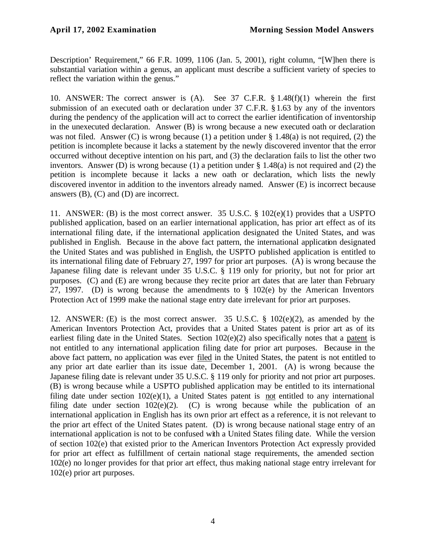Description' Requirement," 66 F.R. 1099, 1106 (Jan. 5, 2001), right column, "[W]hen there is substantial variation within a genus, an applicant must describe a sufficient variety of species to reflect the variation within the genus."

10. ANSWER: The correct answer is (A). See 37 C.F.R. § 1.48(f)(1) wherein the first submission of an executed oath or declaration under 37 C.F.R. § 1.63 by any of the inventors during the pendency of the application will act to correct the earlier identification of inventorship in the unexecuted declaration. Answer (B) is wrong because a new executed oath or declaration was not filed. Answer (C) is wrong because (1) a petition under § 1.48(a) is not required, (2) the petition is incomplete because it lacks a statement by the newly discovered inventor that the error occurred without deceptive intention on his part, and (3) the declaration fails to list the other two inventors. Answer (D) is wrong because (1) a petition under § 1.48(a) is not required and (2) the petition is incomplete because it lacks a new oath or declaration, which lists the newly discovered inventor in addition to the inventors already named. Answer (E) is incorrect because answers (B), (C) and (D) are incorrect.

11. ANSWER: (B) is the most correct answer. 35 U.S.C. § 102(e)(1) provides that a USPTO published application, based on an earlier international application, has prior art effect as of its international filing date, if the international application designated the United States, and was published in English. Because in the above fact pattern, the international application designated the United States and was published in English, the USPTO published application is entitled to its international filing date of February 27, 1997 for prior art purposes. (A) is wrong because the Japanese filing date is relevant under 35 U.S.C. § 119 only for priority, but not for prior art purposes. (C) and (E) are wrong because they recite prior art dates that are later than February 27, 1997. (D) is wrong because the amendments to  $\S$  102(e) by the American Inventors Protection Act of 1999 make the national stage entry date irrelevant for prior art purposes.

12. ANSWER: (E) is the most correct answer. 35 U.S.C. § 102(e)(2), as amended by the American Inventors Protection Act, provides that a United States patent is prior art as of its earliest filing date in the United States. Section 102(e)(2) also specifically notes that a patent is not entitled to any international application filing date for prior art purposes. Because in the above fact pattern, no application was ever filed in the United States, the patent is not entitled to any prior art date earlier than its issue date, December 1, 2001. (A) is wrong because the Japanese filing date is relevant under 35 U.S.C. § 119 only for priority and not prior art purposes. (B) is wrong because while a USPTO published application may be entitled to its international filing date under section 102(e)(1), a United States patent is not entitled to any international filing date under section  $102(e)(2)$ . (C) is wrong because while the publication of an international application in English has its own prior art effect as a reference, it is not relevant to the prior art effect of the United States patent. (D) is wrong because national stage entry of an international application is not to be confused with a United States filing date. While the version of section 102(e) that existed prior to the American Inventors Protection Act expressly provided for prior art effect as fulfillment of certain national stage requirements, the amended section 102(e) no longer provides for that prior art effect, thus making national stage entry irrelevant for 102(e) prior art purposes.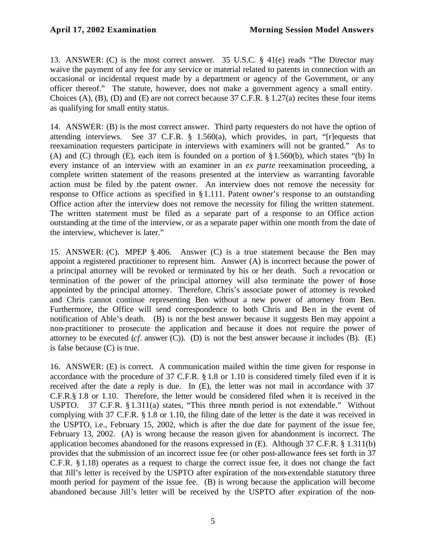13. ANSWER: (C) is the most correct answer. 35 U.S.C. § 41(e) reads "The Director may waive the payment of any fee for any service or material related to patents in connection with an occasional or incidental request made by a department or agency of the Government, or any officer thereof." The statute, however, does not make a government agency a small entity. Choices (A), (B), (D) and (E) are not correct because 37 C.F.R. § 1.27(a) recites these four items as qualifying for small entity status.

14. ANSWER: (B) is the most correct answer. Third party requesters do not have the option of attending interviews. See 37 C.F.R. § 1.560(a), which provides, in part, "[r]equests that reexamination requesters participate in interviews with examiners will not be granted." As to (A) and (C) through (E), each item is founded on a portion of §1.560(b), which states "(b) In every instance of an interview with an examiner in an *ex parte* reexamination proceeding, a complete written statement of the reasons presented at the interview as warranting favorable action must be filed by the patent owner. An interview does not remove the necessity for response to Office actions as specified in § 1.111. Patent owner's response to an outstanding Office action after the interview does not remove the necessity for filing the written statement. The written statement must be filed as a separate part of a response to an Office action outstanding at the time of the interview, or as a separate paper within one month from the date of the interview, whichever is later."

15. ANSWER: (C). MPEP § 406. Answer (C) is a true statement because the Ben may appoint a registered practitioner to represent him. Answer (A) is incorrect because the power of a principal attorney will be revoked or terminated by his or her death. Such a revocation or termination of the power of the principal attorney will also terminate the power of those appointed by the principal attorney. Therefore, Chris's associate power of attorney is revoked and Chris cannot continue representing Ben without a new power of attorney from Ben. Furthermore, the Office will send correspondence to both Chris and Ben in the event of notification of Able's death. (B) is not the best answer because it suggests Ben may appoint a non-practitioner to prosecute the application and because it does not require the power of attorney to be executed (*cf.* answer (C)). (D) is not the best answer because it includes (B). (E) is false because (C) is true.

16. ANSWER: (E) is correct. A communication mailed within the time given for response in accordance with the procedure of 37 C.F.R. § 1.8 or 1.10 is considered timely filed even if it is received after the date a reply is due. In (E), the letter was not mail in accordance with 37 C.F.R.§ 1.8 or 1.10. Therefore, the letter would be considered filed when it is received in the USPTO. 37 C.F.R. § 1.311(a) states, "This three month period is not extendable." Without complying with 37 C.F.R. § 1.8 or 1.10, the filing date of the letter is the date it was received in the USPTO, i.e., February 15, 2002, which is after the due date for payment of the issue fee, February 13, 2002. (A) is wrong because the reason given for abandonment is incorrect. The application becomes abandoned for the reasons expressed in (E). Although 37 C.F.R. § 1.311(b) provides that the submission of an incorrect issue fee (or other post-allowance fees set forth in 37 C.F.R. § 1.18) operates as a request to charge the correct issue fee, it does not change the fact that Jill's letter is received by the USPTO after expiration of the non-extendable statutory three month period for payment of the issue fee. (B) is wrong because the application will become abandoned because Jill's letter will be received by the USPTO after expiration of the non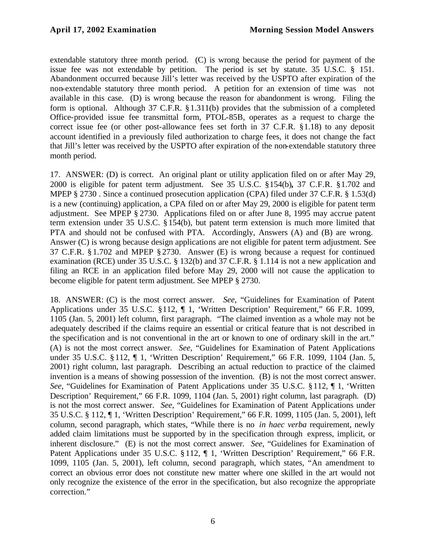extendable statutory three month period. (C) is wrong because the period for payment of the issue fee was not extendable by petition. The period is set by statute. 35 U.S.C. § 151. Abandonment occurred because Jill's letter was received by the USPTO after expiration of the non-extendable statutory three month period. A petition for an extension of time was not available in this case. (D) is wrong because the reason for abandonment is wrong. Filing the form is optional. Although 37 C.F.R. §1.311(b) provides that the submission of a completed Office-provided issue fee transmittal form, PTOL-85B, operates as a request to charge the correct issue fee (or other post-allowance fees set forth in 37 C.F.R. §1.18) to any deposit account identified in a previously filed authorization to charge fees, it does not change the fact that Jill's letter was received by the USPTO after expiration of the non-extendable statutory three month period.

17. ANSWER: (D) is correct. An original plant or utility application filed on or after May 29, 2000 is eligible for patent term adjustment. See 35 U.S.C. §154(b)*,* 37 C.F.R. §1.702 and MPEP § 2730 . Since a continued prosecution application (CPA) filed under 37 C.F.R. § 1.53(d) is a new (continuing) application, a CPA filed on or after May 29, 2000 is eligible for patent term adjustment. See MPEP § 2730. Applications filed on or after June 8, 1995 may accrue patent term extension under 35 U.S.C. §154(b), but patent term extension is much more limited that PTA and should not be confused with PTA. Accordingly, Answers (A) and (B) are wrong. Answer (C) is wrong because design applications are not eligible for patent term adjustment. See 37 C.F.R. § 1.702 and MPEP § 2730. Answer (E) is wrong because a request for continued examination (RCE) under 35 U.S.C. § 132(b) and 37 C.F.R. § 1.114 is not a new application and filing an RCE in an application filed before May 29, 2000 will not cause the application to become eligible for patent term adjustment. See MPEP § 2730.

18. ANSWER: (C) is the most correct answer. *See*, "Guidelines for Examination of Patent Applications under 35 U.S.C. §112, ¶ 1, 'Written Description' Requirement," 66 F.R. 1099, 1105 (Jan. 5, 2001) left column, first paragraph. "The claimed invention as a whole may not be adequately described if the claims require an essential or critical feature that is not described in the specification and is not conventional in the art or known to one of ordinary skill in the art." (A) is not the most correct answer. *See*, "Guidelines for Examination of Patent Applications under 35 U.S.C. § 112, ¶ 1, 'Written Description' Requirement," 66 F.R. 1099, 1104 (Jan. 5, 2001) right column, last paragraph. Describing an actual reduction to practice of the claimed invention is a means of showing possession of the invention. (B) is not the most correct answer. *See*, "Guidelines for Examination of Patent Applications under 35 U.S.C. §112, ¶ 1, 'Written Description' Requirement," 66 F.R. 1099, 1104 (Jan. 5, 2001) right column, last paragraph. (D) is not the most correct answer. *See*, "Guidelines for Examination of Patent Applications under 35 U.S.C. § 112, ¶ 1, 'Written Description' Requirement," 66 F.R. 1099, 1105 (Jan. 5, 2001), left column, second paragraph, which states, "While there is no *in haec verba* requirement, newly added claim limitations must be supported by in the specification through express, implicit, or inherent disclosure." (E) is not the most correct answer. *See*, "Guidelines for Examination of Patent Applications under 35 U.S.C. § 112, ¶ 1, 'Written Description' Requirement," 66 F.R. 1099, 1105 (Jan. 5, 2001), left column, second paragraph, which states, "An amendment to correct an obvious error does not constitute new matter where one skilled in the art would not only recognize the existence of the error in the specification, but also recognize the appropriate correction."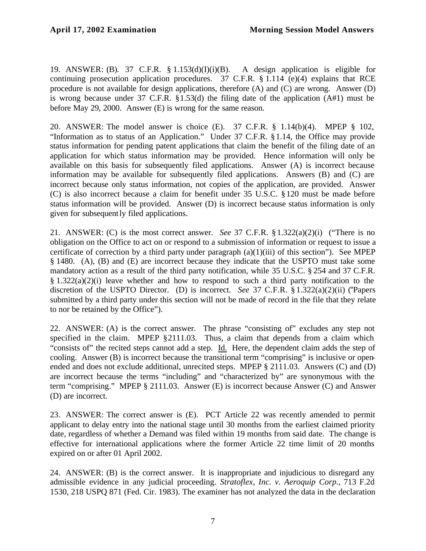19. ANSWER: (B). 37 C.F.R. § 1.153(d)(I)(i)(B). A design application is eligible for continuing prosecution application procedures. 37 C.F.R. § 1.114 (e)(4) explains that RCE procedure is not available for design applications, therefore (A) and (C) are wrong. Answer (D) is wrong because under 37 C.F.R. §1.53(d) the filing date of the application (A#1) must be before May 29, 2000. Answer (E) is wrong for the same reason.

20. ANSWER: The model answer is choice (E). 37 C.F.R. § 1.14(b)(4). MPEP § 102, "Information as to status of an Application." Under 37 C.F.R. §1.14, the Office may provide status information for pending patent applications that claim the benefit of the filing date of an application for which status information may be provided. Hence information will only be available on this basis for subsequently filed applications. Answer (A) is incorrect because information may be available for subsequently filed applications. Answers (B) and (C) are incorrect because only status information, not copies of the application, are provided. Answer (C) is also incorrect because a claim for benefit under 35 U.S.C. §120 must be made before status information will be provided. Answer (D) is incorrect because status information is only given for subsequently filed applications.

21. ANSWER: (C) is the most correct answer. *See* 37 C.F.R.  $\S 1.322(a)(2)(i)$  ("There is no obligation on the Office to act on or respond to a submission of information or request to issue a certificate of correction by a third party under paragraph  $(a)(1)(iii)$  of this section"). See MPEP § 1480. (A), (B) and (E) are incorrect because they indicate that the USPTO must take some mandatory action as a result of the third party notification, while 35 U.S.C. § 254 and 37 C.F.R.  $§ 1.322(a)(2)(i)$  leave whether and how to respond to such a third party notification to the discretion of the USPTO Director. (D) is incorrect. *See* 37 C.F.R. § 1.322(a)(2)(ii) ("Papers submitted by a third party under this section will not be made of record in the file that they relate to nor be retained by the Office").

22. ANSWER: (A) is the correct answer. The phrase "consisting of" excludes any step not specified in the claim. MPEP §2111.03. Thus, a claim that depends from a claim which "consists of" the recited steps cannot add a step. Id. Here, the dependent claim adds the step of cooling. Answer (B) is incorrect because the transitional term "comprising" is inclusive or openended and does not exclude additional, unrecited steps. MPEP § 2111.03. Answers (C) and (D) are incorrect because the terms "including" and "characterized by" are synonymous with the term "comprising." MPEP § 2111.03. Answer (E) is incorrect because Answer (C) and Answer (D) are incorrect.

23. ANSWER: The correct answer is (E). PCT Article 22 was recently amended to permit applicant to delay entry into the national stage until 30 months from the earliest claimed priority date, regardless of whether a Demand was filed within 19 months from said date. The change is effective for international applications where the former Article 22 time limit of 20 months expired on or after 01 April 2002.

24. ANSWER: (B) is the correct answer. It is inappropriate and injudicious to disregard any admissible evidence in any judicial proceeding. *Stratoflex, Inc. v. Aeroquip Corp.,* 713 F.2d 1530, 218 USPQ 871 (Fed. Cir. 1983). The examiner has not analyzed the data in the declaration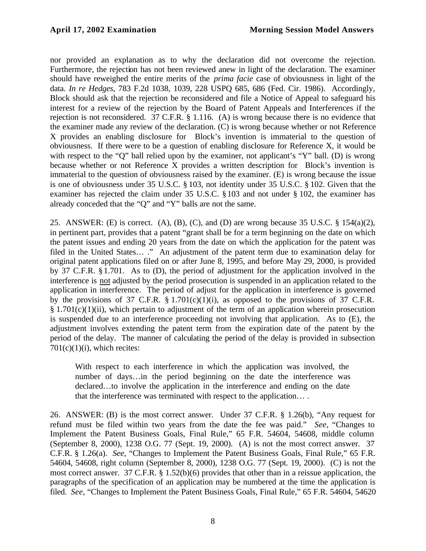nor provided an explanation as to why the declaration did not overcome the rejection. Furthermore, the rejection has not been reviewed anew in light of the declaration. The examiner should have reweighed the entire merits of the *prima facie* case of obviousness in light of the data. *In re Hedges*, 783 F.2d 1038, 1039, 228 USPQ 685, 686 (Fed. Cir. 1986). Accordingly, Block should ask that the rejection be reconsidered and file a Notice of Appeal to safeguard his interest for a review of the rejection by the Board of Patent Appeals and Interferences if the rejection is not reconsidered. 37 C.F.R. § 1.116. (A) is wrong because there is no evidence that the examiner made any review of the declaration. (C) is wrong because whether or not Reference X provides an enabling disclosure for Block's invention is immaterial to the question of obviousness. If there were to be a question of enabling disclosure for Reference X, it would be with respect to the "Q" ball relied upon by the examiner, not applicant's "Y" ball. (D) is wrong because whether or not Reference X provides a written description for Block's invention is immaterial to the question of obviousness raised by the examiner. (E) is wrong because the issue is one of obviousness under 35 U.S.C. § 103, not identity under 35 U.S.C. § 102. Given that the examiner has rejected the claim under 35 U.S.C. §103 and not under § 102, the examiner has already conceded that the "Q" and "Y" balls are not the same.

25. ANSWER: (E) is correct. (A), (B), (C), and (D) are wrong because 35 U.S.C.  $\S$  154(a)(2), in pertinent part, provides that a patent "grant shall be for a term beginning on the date on which the patent issues and ending 20 years from the date on which the application for the patent was filed in the United States… ." An adjustment of the patent term due to examination delay for original patent applications filed on or after June 8, 1995, and before May 29, 2000, is provided by 37 C.F.R. § 1.701. As to (D), the period of adjustment for the application involved in the interference is not adjusted by the period prosecution is suspended in an application related to the application in interference. The period of adjust for the application in interference is governed by the provisions of 37 C.F.R.  $\S 1.701(c)(1)(i)$ , as opposed to the provisions of 37 C.F.R.  $§ 1.701(c)(1)(ii)$ , which pertain to adjustment of the term of an application wherein prosecution is suspended due to an interference proceeding not involving that application. As to (E), the adjustment involves extending the patent term from the expiration date of the patent by the period of the delay. The manner of calculating the period of the delay is provided in subsection  $701(c)(1)(i)$ , which recites:

With respect to each interference in which the application was involved, the number of days…in the period beginning on the date the interference was declared…to involve the application in the interference and ending on the date that the interference was terminated with respect to the application… .

26. ANSWER: (B) is the most correct answer. Under 37 C.F.R. § 1.26(b), "Any request for refund must be filed within two years from the date the fee was paid." *See*, "Changes to Implement the Patent Business Goals, Final Rule," 65 F.R. 54604, 54608, middle column (September 8, 2000), 1238 O.G. 77 (Sept. 19, 2000). (A) is not the most correct answer. 37 C.F.R. § 1.26(a). *See*, "Changes to Implement the Patent Business Goals, Final Rule," 65 F.R. 54604, 54608, right column (September 8, 2000), 1238 O.G. 77 (Sept. 19, 2000). (C) is not the most correct answer. 37 C.F.R. § 1.52(b)(6) provides that other than in a reissue application, the paragraphs of the specification of an application may be numbered at the time the application is filed. *See*, "Changes to Implement the Patent Business Goals, Final Rule," 65 F.R. 54604, 54620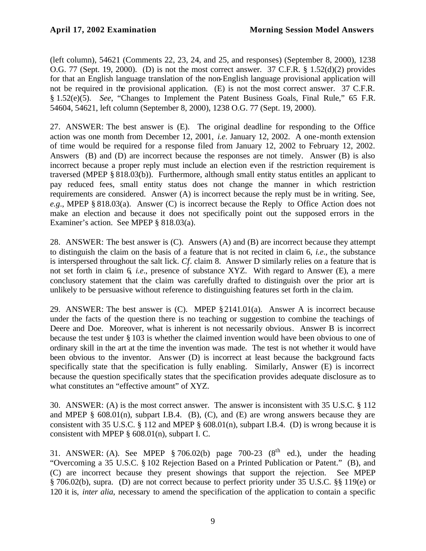(left column), 54621 (Comments 22, 23, 24, and 25, and responses) (September 8, 2000), 1238 O.G. 77 (Sept. 19, 2000). (D) is not the most correct answer. 37 C.F.R. § 1.52(d)(2) provides for that an English language translation of the non-English language provisional application will not be required in the provisional application. (E) is not the most correct answer. 37 C.F.R. § 1.52(e)(5). *See*, "Changes to Implement the Patent Business Goals, Final Rule," 65 F.R. 54604, 54621, left column (September 8, 2000), 1238 O.G. 77 (Sept. 19, 2000).

27. ANSWER: The best answer is (E). The original deadline for responding to the Office action was one month from December 12, 2001, *i.e*. January 12, 2002. A one-month extension of time would be required for a response filed from January 12, 2002 to February 12, 2002. Answers (B) and (D) are incorrect because the responses are not timely. Answer (B) is also incorrect because a proper reply must include an election even if the restriction requirement is traversed (MPEP § 818.03(b)). Furthermore, although small entity status entitles an applicant to pay reduced fees, small entity status does not change the manner in which restriction requirements are considered. Answer (A) is incorrect because the reply must be in writing. See, *e.g*., MPEP § 818.03(a). Answer (C) is incorrect because the Reply to Office Action does not make an election and because it does not specifically point out the supposed errors in the Examiner's action. See MPEP § 818.03(a).

28. ANSWER: The best answer is (C). Answers (A) and (B) are incorrect because they attempt to distinguish the claim on the basis of a feature that is not recited in claim 6, *i.e*., the substance is interspersed throughout the salt lick. *Cf*. claim 8. Answer D similarly relies on a feature that is not set forth in claim 6, *i.e*., presence of substance XYZ. With regard to Answer (E), a mere conclusory statement that the claim was carefully drafted to distinguish over the prior art is unlikely to be persuasive without reference to distinguishing features set forth in the cla im.

29. ANSWER: The best answer is (C). MPEP §2141.01(a). Answer A is incorrect because under the facts of the question there is no teaching or suggestion to combine the teachings of Deere and Doe. Moreover, what is inherent is not necessarily obvious. Answer B is incorrect because the test under § 103 is whether the claimed invention would have been obvious to one of ordinary skill in the art at the time the invention was made. The test is not whether it would have been obvious to the inventor. Answer (D) is incorrect at least because the background facts specifically state that the specification is fully enabling. Similarly, Answer (E) is incorrect because the question specifically states that the specification provides adequate disclosure as to what constitutes an "effective amount" of XYZ.

30. ANSWER: (A) is the most correct answer. The answer is inconsistent with 35 U.S.C. § 112 and MPEP  $\S$  608.01(n), subpart I.B.4. (B), (C), and (E) are wrong answers because they are consistent with 35 U.S.C. § 112 and MPEP § 608.01(n), subpart I.B.4. (D) is wrong because it is consistent with MPEP § 608.01(n), subpart I. C.

31. ANSWER: (A). See MPEP § 706.02(b) page 700-23 ( $8<sup>th</sup>$  ed.), under the heading "Overcoming a 35 U.S.C. § 102 Rejection Based on a Printed Publication or Patent." (B), and (C) are incorrect because they present showings that support the rejection. See MPEP § 706.02(b), supra. (D) are not correct because to perfect priority under 35 U.S.C. §§ 119(e) or 120 it is, *inter alia*, necessary to amend the specification of the application to contain a specific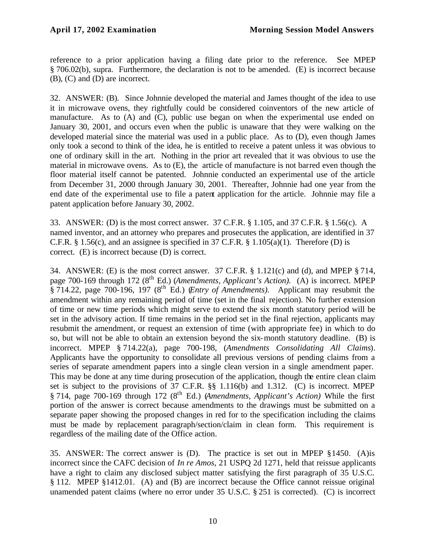reference to a prior application having a filing date prior to the reference. See MPEP § 706.02(b), supra. Furthermore, the declaration is not to be amended. (E) is incorrect because (B), (C) and (D) are incorrect.

32. ANSWER: (B). Since Johnnie developed the material and James thought of the idea to use it in microwave ovens, they rightfully could be considered coinventors of the new article of manufacture. As to (A) and (C), public use began on when the experimental use ended on January 30, 2001, and occurs even when the public is unaware that they were walking on the developed material since the material was used in a public place. As to (D), even though James only took a second to think of the idea, he is entitled to receive a patent unless it was obvious to one of ordinary skill in the art. Nothing in the prior art revealed that it was obvious to use the material in microwave ovens. As to (E), the article of manufacture is not barred even though the floor material itself cannot be patented. Johnnie conducted an experimental use of the article from December 31, 2000 through January 30, 2001. Thereafter, Johnnie had one year from the end date of the experimental use to file a patent application for the article. Johnnie may file a patent application before January 30, 2002.

33. ANSWER: (D) is the most correct answer. 37 C.F.R. § 1.105, and 37 C.F.R. § 1.56(c). A named inventor, and an attorney who prepares and prosecutes the application, are identified in 37 C.F.R.  $\S$  1.56(c), and an assignee is specified in 37 C.F.R.  $\S$  1.105(a)(1). Therefore (D) is correct. (E) is incorrect because (D) is correct.

34. ANSWER: (E) is the most correct answer. 37 C.F.R. § 1.121(c) and (d), and MPEP § 714, page 700-169 through 172 (8<sup>th</sup> Ed.) (*Amendments, Applicant's Action*). (A) is incorrect. MPEP  $\frac{1}{8}$  714.22, page 700-196, 197 ( $8<sup>th</sup>$  Ed.) (*Entry of Amendments*). Applicant may resubmit the amendment within any remaining period of time (set in the final rejection). No further extension of time or new time periods which might serve to extend the six month statutory period will be set in the advisory action. If time remains in the period set in the final rejection, applicants may resubmit the amendment, or request an extension of time (with appropriate fee) in which to do so, but will not be able to obtain an extension beyond the six-month statutory deadline. (B) is incorrect. MPEP § 714.22(a), page 700-198, (*Amendments Consolidating All Claims*). Applicants have the opportunity to consolidate all previous versions of pending claims from a series of separate amendment papers into a single clean version in a single amendment paper. This may be done at any time during prosecution of the application, though the entire clean claim set is subject to the provisions of 37 C.F.R. §§ 1.116(b) and 1.312. (C) is incorrect. MPEP § 714, page 700-169 through 172 (8th Ed.) (*Amendments, Applicant's Action)* While the first portion of the answer is correct because amendments to the drawings must be submitted on a separate paper showing the proposed changes in red for to the specification including the claims must be made by replacement paragraph/section/claim in clean form. This requirement is regardless of the mailing date of the Office action.

35. ANSWER: The correct answer is (D). The practice is set out in MPEP §1450. (A)is incorrect since the CAFC decision of *In re Amos*, 21 USPQ 2d 1271, held that reissue applicants have a right to claim any disclosed subject matter satisfying the first paragraph of 35 U.S.C. § 112. MPEP §1412.01. (A) and (B) are incorrect because the Office cannot reissue original unamended patent claims (where no error under 35 U.S.C. § 251 is corrected). (C) is incorrect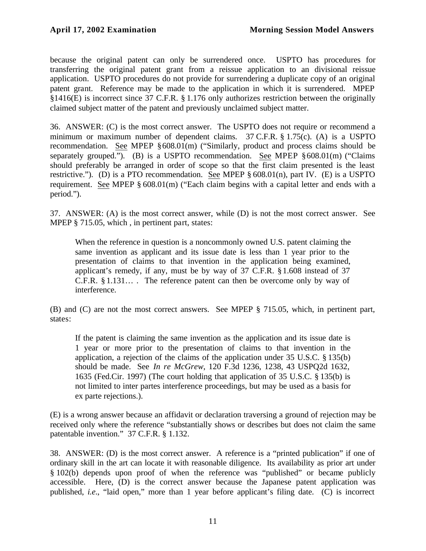because the original patent can only be surrendered once. USPTO has procedures for transferring the original patent grant from a reissue application to an divisional reissue application. USPTO procedures do not provide for surrendering a duplicate copy of an original patent grant. Reference may be made to the application in which it is surrendered. MPEP §1416(E) is incorrect since 37 C.F.R. § 1.176 only authorizes restriction between the originally claimed subject matter of the patent and previously unclaimed subject matter.

36. ANSWER: (C) is the most correct answer. The USPTO does not require or recommend a minimum or maximum number of dependent claims. 37 C.F.R. § 1.75(c). (A) is a USPTO recommendation. See MPEP §608.01(m) ("Similarly, product and process claims should be separately grouped."). (B) is a USPTO recommendation. See MPEP §608.01(m) ("Claims should preferably be arranged in order of scope so that the first claim presented is the least restrictive."). (D) is a PTO recommendation. See MPEP § 608.01(n), part IV. (E) is a USPTO requirement. See MPEP § 608.01(m) ("Each claim begins with a capital letter and ends with a period.").

37. ANSWER: (A) is the most correct answer, while (D) is not the most correct answer. See MPEP § 715.05, which, in pertinent part, states:

When the reference in question is a noncommonly owned U.S. patent claiming the same invention as applicant and its issue date is less than 1 year prior to the presentation of claims to that invention in the application being examined, applicant's remedy, if any, must be by way of 37 C.F.R. §1.608 instead of 37 C.F.R. § 1.131… . The reference patent can then be overcome only by way of interference.

(B) and (C) are not the most correct answers. See MPEP § 715.05, which, in pertinent part, states:

If the patent is claiming the same invention as the application and its issue date is 1 year or more prior to the presentation of claims to that invention in the application, a rejection of the claims of the application under 35 U.S.C. § 135(b) should be made. See *In re McGrew*, 120 F.3d 1236, 1238, 43 USPQ2d 1632, 1635 (Fed.Cir. 1997) (The court holding that application of 35 U.S.C. § 135(b) is not limited to inter partes interference proceedings, but may be used as a basis for ex parte rejections.).

(E) is a wrong answer because an affidavit or declaration traversing a ground of rejection may be received only where the reference "substantially shows or describes but does not claim the same patentable invention." 37 C.F.R. § 1.132.

38. ANSWER: (D) is the most correct answer. A reference is a "printed publication" if one of ordinary skill in the art can locate it with reasonable diligence. Its availability as prior art under § 102(b) depends upon proof of when the reference was "published" or became publicly accessible. Here, (D) is the correct answer because the Japanese patent application was published, *i.e*., "laid open," more than 1 year before applicant's filing date. (C) is incorrect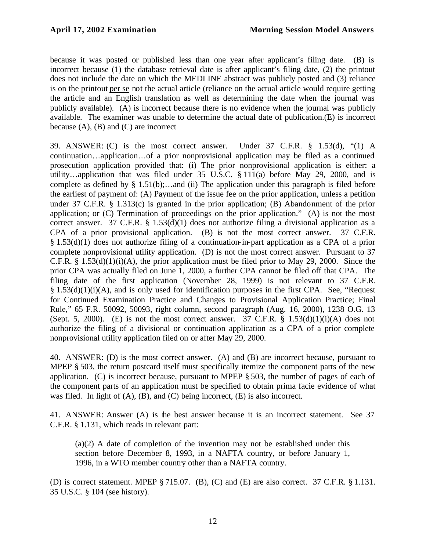because it was posted or published less than one year after applicant's filing date. (B) is incorrect because (1) the database retrieval date is after applicant's filing date, (2) the printout does not include the date on which the MEDLINE abstract was publicly posted and (3) reliance is on the printout per se not the actual article (reliance on the actual article would require getting the article and an English translation as well as determining the date when the journal was publicly available). (A) is incorrect because there is no evidence when the journal was publicly available. The examiner was unable to determine the actual date of publication.(E) is incorrect because  $(A)$ ,  $(B)$  and  $(C)$  are incorrect

39. ANSWER: (C) is the most correct answer. Under 37 C.F.R. § 1.53(d), "(1) A continuation…application…of a prior nonprovisional application may be filed as a continued prosecution application provided that: (i) The prior nonprovisional application is either: a utility…application that was filed under 35 U.S.C. § 111(a) before May 29, 2000, and is complete as defined by  $\S$  1.51(b);...and (ii) The application under this paragraph is filed before the earliest of payment of: (A) Payment of the issue fee on the prior application, unless a petition under 37 C.F.R. § 1.313(c) is granted in the prior application; (B) Abandonment of the prior application; or (C) Termination of proceedings on the prior application." (A) is not the most correct answer. 37 C.F.R. § 1.53(d)(1) does not authorize filing a divisional application as a CPA of a prior provisional application. (B) is not the most correct answer. 37 C.F.R. § 1.53(d)(1) does not authorize filing of a continuation-in-part application as a CPA of a prior complete nonprovisional utility application. (D) is not the most correct answer. Pursuant to 37 C.F.R. § 1.53(d)(1)(i)(A), the prior application must be filed prior to May 29, 2000. Since the prior CPA was actually filed on June 1, 2000, a further CPA cannot be filed off that CPA. The filing date of the first application (November 28, 1999) is not relevant to 37 C.F.R. § 1.53(d)(1)(i)(A), and is only used for identification purposes in the first CPA. See, "Request for Continued Examination Practice and Changes to Provisional Application Practice; Final Rule," 65 F.R. 50092, 50093, right column, second paragraph (Aug. 16, 2000), 1238 O.G. 13 (Sept. 5, 2000). (E) is not the most correct answer. 37 C.F.R.  $\S$  1.53(d)(1)(i)(A) does not authorize the filing of a divisional or continuation application as a CPA of a prior complete nonprovisional utility application filed on or after May 29, 2000.

40. ANSWER: (D) is the most correct answer. (A) and (B) are incorrect because, pursuant to MPEP § 503, the return postcard itself must specifically itemize the component parts of the new application. (C) is incorrect because, pursuant to MPEP § 503, the number of pages of each of the component parts of an application must be specified to obtain prima facie evidence of what was filed. In light of (A), (B), and (C) being incorrect, (E) is also incorrect.

41. ANSWER: Answer (A) is the best answer because it is an incorrect statement. See 37 C.F.R. § 1.131, which reads in relevant part:

(a)(2) A date of completion of the invention may not be established under this section before December 8, 1993, in a NAFTA country, or before January 1, 1996, in a WTO member country other than a NAFTA country.

(D) is correct statement. MPEP § 715.07. (B), (C) and (E) are also correct. 37 C.F.R. § 1.131. 35 U.S.C. § 104 (see history).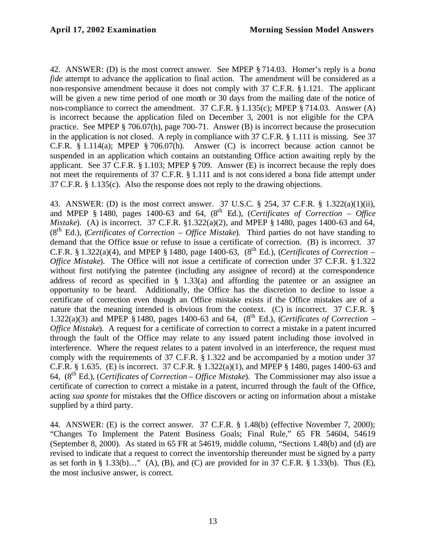42. ANSWER: (D) is the most correct answer. See MPEP § 714.03. Homer's reply is a *bona fide* attempt to advance the application to final action. The amendment will be considered as a non-responsive amendment because it does not comply with 37 C.F.R. §1.121. The applicant will be given a new time period of one month or 30 days from the mailing date of the notice of non-compliance to correct the amendment. 37 C.F.R. § 1.135(c); MPEP § 714.03. Answer (A) is incorrect because the application filed on December 3, 2001 is not eligible for the CPA practice. See MPEP § 706.07(h), page 700-71. Answer (B) is incorrect because the prosecution in the application is not closed. A reply in compliance with 37 C.F.R. § 1.111 is missing. See 37 C.F.R. § 1.114(a); MPEP § 706.07(h). Answer (C) is incorrect because action cannot be suspended in an application which contains an outstanding Office action awaiting reply by the applicant. See 37 C.F.R. § 1.103; MPEP § 709. Answer (E) is incorrect because the reply does not meet the requirements of 37 C.F.R. § 1.111 and is not considered a bona fide attempt under 37 C.F.R. § 1.135(c). Also the response does not reply to the drawing objections.

43. ANSWER: (D) is the most correct answer. 37 U.S.C. § 254, 37 C.F.R. § 1.322(a)(1)(ii), and MPEP § 1480, pages 1400-63 and 64,  $(8^{th}$  Ed.), *(Certificates of Correction – Office Mistake*). (A) is incorrect. 37 C.F.R. §1.322(a)(2), and MPEP § 1480, pages 1400-63 and 64,  $(8<sup>th</sup> Ed.)$ , *(Certificates of Correction – Office Mistake*). Third parties do not have standing to demand that the Office issue or refuse to issue a certificate of correction. (B) is incorrect. 37 C.F.R. § 1.322(a)(4), and MPEP § 1480, page 1400-63,  $(8^{th}$  Ed.), *(Certificates of Correction – Office Mistake*). The Office will not issue a certificate of correction under 37 C.F.R. § 1.322 without first notifying the patentee (including any assignee of record) at the correspondence address of record as specified in § 1.33(a) and affording the patentee or an assignee an opportunity to be heard. Additionally, the Office has the discretion to decline to issue a certificate of correction even though an Office mistake exists if the Office mistakes are of a nature that the meaning intended is obvious from the context. (C) is incorrect. 37 C.F.R. § 1.322(a)(3) and MPEP § 1480, pages 1400-63 and 64,  $(8^{th}$  Ed.), *(Certificates of Correction – Office Mistake*). A request for a certificate of correction to correct a mistake in a patent incurred through the fault of the Office may relate to any issued patent including those involved in interference. Where the request relates to a patent involved in an interference, the request must comply with the requirements of 37 C.F.R. § 1.322 and be accompanied by a motion under 37 C.F.R. § 1.635. (E) is incorrect. 37 C.F.R. § 1.322(a)(1), and MPEP § 1480, pages 1400-63 and 64, (8th Ed.), (*Certificates of Correction – Office Mistake*). The Commissioner may also issue a certificate of correction to correct a mistake in a patent, incurred through the fault of the Office, acting *sua sponte* for mistakes that the Office discovers or acting on information about a mistake supplied by a third party.

44. ANSWER: (E) is the correct answer. 37 C.F.R. § 1.48(b) (effective November 7, 2000); "Changes To Implement the Patent Business Goals; Final Rule," 65 FR 54604, 54619 (September 8, 2000). As stated in 65 FR at 54619, middle column, "Sections 1.48(b) and (d) are revised to indicate that a request to correct the inventorship thereunder must be signed by a party as set forth in  $\S$  1.33(b)…" (A), (B), and (C) are provided for in 37 C.F.R.  $\S$  1.33(b). Thus (E), the most inclusive answer, is correct.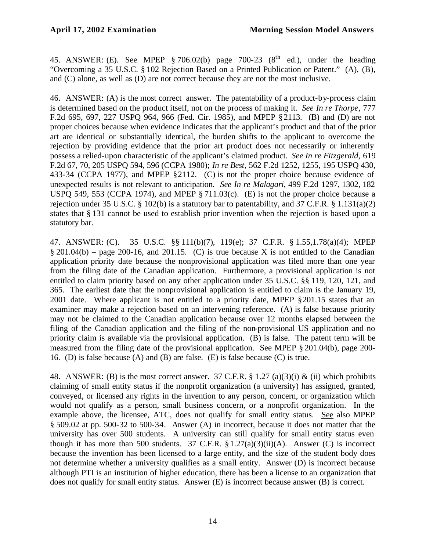45. ANSWER: (E). See MPEP § 706.02(b) page 700-23 ( $8<sup>th</sup>$  ed.), under the heading "Overcoming a 35 U.S.C. § 102 Rejection Based on a Printed Publication or Patent." (A), (B), and (C) alone, as well as (D) are not correct because they are not the most inclusive.

46. ANSWER: (A) is the most correct answer. The patentability of a product-by-process claim is determined based on the product itself, not on the process of making it. *See In re Thorpe*, 777 F.2d 695, 697, 227 USPQ 964, 966 (Fed. Cir. 1985), and MPEP § 2113. (B) and (D) are not proper choices because when evidence indicates that the applicant's product and that of the prior art are identical or substantially identical, the burden shifts to the applicant to overcome the rejection by providing evidence that the prior art product does not necessarily or inherently possess a relied-upon characteristic of the applicant's claimed product. *See In re Fitzgerald*, 619 F.2d 67, 70, 205 USPQ 594, 596 (CCPA 1980); *In re Best*, 562 F.2d 1252, 1255, 195 USPQ 430, 433-34 (CCPA 1977), and MPEP §2112. (C) is not the proper choice because evidence of unexpected results is not relevant to anticipation. *See In re Malagari*, 499 F.2d 1297, 1302, 182 USPQ 549, 553 (CCPA 1974), and MPEP § 711.03(c). (E) is not the proper choice because a rejection under 35 U.S.C. § 102(b) is a statutory bar to patentability, and 37 C.F.R. § 1.131(a)(2) states that § 131 cannot be used to establish prior invention when the rejection is based upon a statutory bar.

47. ANSWER: (C). 35 U.S.C. §§ 111(b)(7), 119(e); 37 C.F.R. § 1.55,1.78(a)(4); MPEP  $§ 201.04(b)$  – page 200-16, and 201.15. (C) is true because X is not entitled to the Canadian application priority date because the nonprovisional application was filed more than one year from the filing date of the Canadian application. Furthermore, a provisional application is not entitled to claim priority based on any other application under 35 U.S.C. §§ 119, 120, 121, and 365. The earliest date that the nonprovisional application is entitled to claim is the January 19, 2001 date. Where applicant is not entitled to a priority date, MPEP §201.15 states that an examiner may make a rejection based on an intervening reference. (A) is false because priority may not be claimed to the Canadian application because over 12 months elapsed between the filing of the Canadian application and the filing of the non-provisional US application and no priority claim is available via the provisional application. (B) is false. The patent term will be measured from the filing date of the provisional application. See MPEP § 201.04(b), page 200- 16. (D) is false because (A) and (B) are false. (E) is false because (C) is true.

48. ANSWER: (B) is the most correct answer. 37 C.F.R. § 1.27 (a)(3)(i) & (ii) which prohibits claiming of small entity status if the nonprofit organization (a university) has assigned, granted, conveyed, or licensed any rights in the invention to any person, concern, or organization which would not qualify as a person, small business concern, or a nonprofit organization. In the example above, the licensee, ATC, does not qualify for small entity status. See also MPEP § 509.02 at pp. 500-32 to 500-34. Answer (A) in incorrect, because it does not matter that the university has over 500 students. A university can still qualify for small entity status even though it has more than 500 students. 37 C.F.R.  $\S 1.27(a)(3)(ii)(A)$ . Answer (C) is incorrect because the invention has been licensed to a large entity, and the size of the student body does not determine whether a university qualifies as a small entity. Answer (D) is incorrect because although PTI is an institution of higher education, there has been a license to an organization that does not qualify for small entity status. Answer (E) is incorrect because answer (B) is correct.